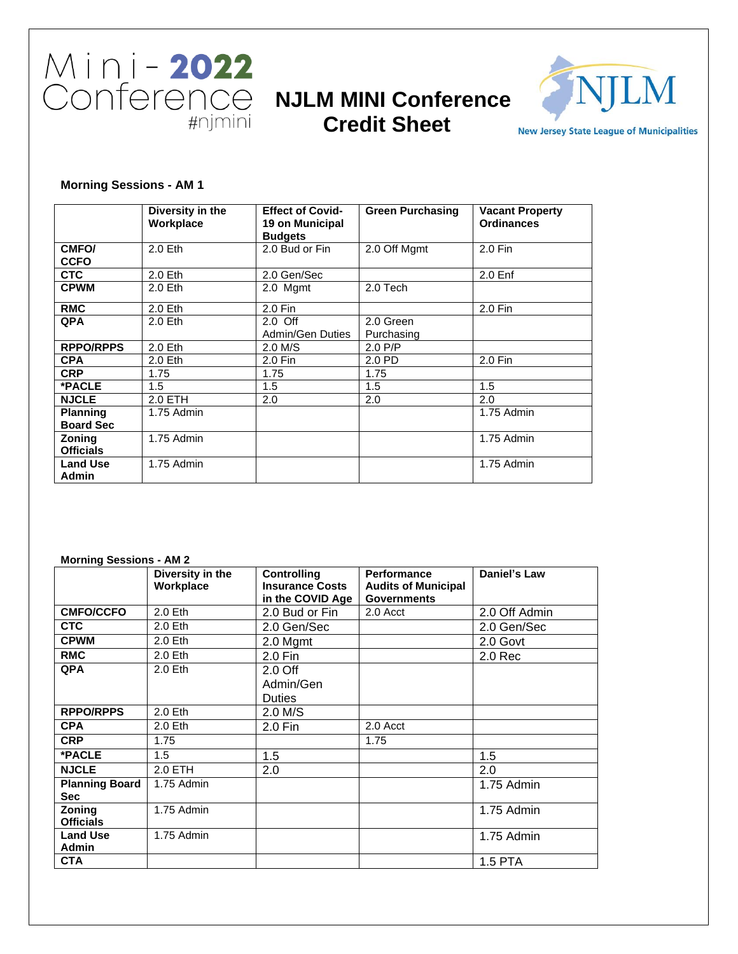

# **Credit Sheet**



**New Jersey State League of Municipalities** 

## **Morning Sessions - AM 1**

|                                     | Diversity in the<br>Workplace | <b>Effect of Covid-</b><br>19 on Municipal<br><b>Budgets</b> | <b>Green Purchasing</b> | <b>Vacant Property</b><br><b>Ordinances</b> |
|-------------------------------------|-------------------------------|--------------------------------------------------------------|-------------------------|---------------------------------------------|
| CMFO/<br><b>CCFO</b>                | $2.0$ Eth                     | 2.0 Bud or Fin                                               | 2.0 Off Mgmt            | 2.0 Fin                                     |
| <b>CTC</b>                          | $2.0$ Eth                     | 2.0 Gen/Sec                                                  |                         | 2.0 <sub>Enf</sub>                          |
| <b>CPWM</b>                         | 2.0 Eth                       | 2.0 Mgmt                                                     | 2.0 Tech                |                                             |
| <b>RMC</b>                          | 2.0 Eth                       | 2.0 Fin                                                      |                         | 2.0 Fin                                     |
| <b>QPA</b>                          | $2.0$ Eth                     | $2.0$ Off                                                    | 2.0 Green               |                                             |
|                                     |                               | Admin/Gen Duties                                             | Purchasing              |                                             |
| <b>RPPO/RPPS</b>                    | $2.0$ Eth                     | $2.0$ M/S                                                    | $2.0$ P/P               |                                             |
| <b>CPA</b>                          | 2.0 Eth                       | $2.0$ Fin                                                    | 2.0 PD                  | 2.0 Fin                                     |
| <b>CRP</b>                          | 1.75                          | 1.75                                                         | 1.75                    |                                             |
| *PACLE                              | 1.5                           | 1.5                                                          | 1.5                     | 1.5                                         |
| <b>NJCLE</b>                        | 2.0 ETH                       | 2.0                                                          | 2.0                     | 2.0                                         |
| <b>Planning</b><br><b>Board Sec</b> | 1.75 Admin                    |                                                              |                         | 1.75 Admin                                  |
| <b>Zoning</b><br><b>Officials</b>   | 1.75 Admin                    |                                                              |                         | 1.75 Admin                                  |
| <b>Land Use</b><br>Admin            | 1.75 Admin                    |                                                              |                         | 1.75 Admin                                  |

#### **Morning Sessions - AM 2**

|                                     | Diversity in the<br>Workplace | <b>Controlling</b><br><b>Insurance Costs</b><br>in the COVID Age | <b>Performance</b><br><b>Audits of Municipal</b><br><b>Governments</b> | Daniel's Law       |
|-------------------------------------|-------------------------------|------------------------------------------------------------------|------------------------------------------------------------------------|--------------------|
| <b>CMFO/CCFO</b>                    | 2.0 Eth                       | 2.0 Bud or Fin                                                   | 2.0 Acct                                                               | 2.0 Off Admin      |
| <b>CTC</b>                          | 2.0 Eth                       | 2.0 Gen/Sec                                                      |                                                                        | 2.0 Gen/Sec        |
| <b>CPWM</b>                         | 2.0 Eth                       | 2.0 Mgmt                                                         |                                                                        | 2.0 Govt           |
| <b>RMC</b>                          | 2.0 Eth                       | 2.0 Fin                                                          |                                                                        | 2.0 <sub>Rec</sub> |
| <b>QPA</b>                          | $2.0$ Eth                     | 2.0 <sub>Off</sub><br>Admin/Gen<br><b>Duties</b>                 |                                                                        |                    |
| <b>RPPO/RPPS</b>                    | 2.0 Eth                       | $2.0$ M/S                                                        |                                                                        |                    |
| <b>CPA</b>                          | $2.0$ Eth                     | 2.0 Fin                                                          | 2.0 Acct                                                               |                    |
| <b>CRP</b>                          | 1.75                          |                                                                  | 1.75                                                                   |                    |
| *PACLE                              | 1.5                           | 1.5                                                              |                                                                        | 1.5                |
| <b>NJCLE</b>                        | 2.0 ETH                       | 2.0                                                              |                                                                        | 2.0                |
| <b>Planning Board</b><br><b>Sec</b> | 1.75 Admin                    |                                                                  |                                                                        | 1.75 Admin         |
| Zoning<br><b>Officials</b>          | 1.75 Admin                    |                                                                  |                                                                        | 1.75 Admin         |
| <b>Land Use</b><br><b>Admin</b>     | 1.75 Admin                    |                                                                  |                                                                        | 1.75 Admin         |
| <b>CTA</b>                          |                               |                                                                  |                                                                        | 1.5 PTA            |